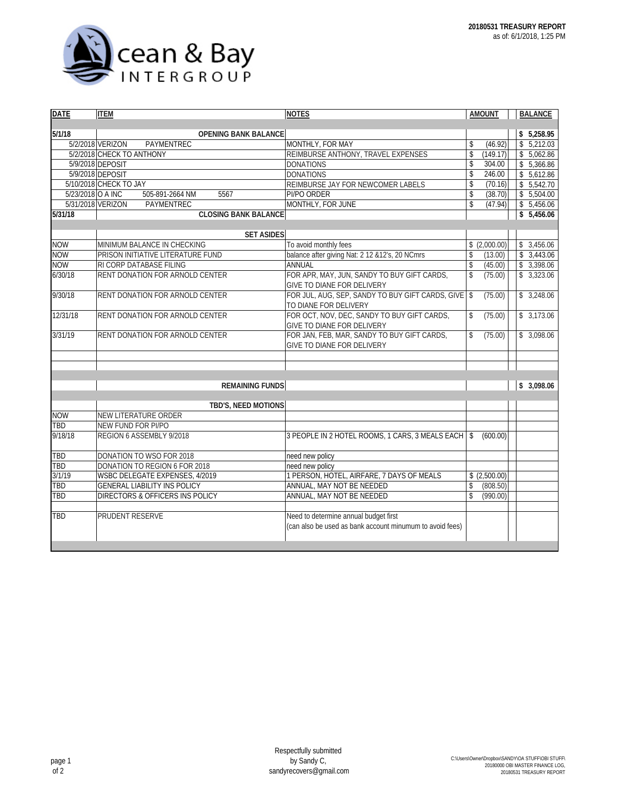

| <b>DATE</b>              | <b>ITEM</b>                            | <b>NOTES</b>                                                 | <b>AMOUNT</b>                  | <b>BALANCE</b> |  |  |  |  |
|--------------------------|----------------------------------------|--------------------------------------------------------------|--------------------------------|----------------|--|--|--|--|
|                          |                                        |                                                              |                                |                |  |  |  |  |
| 5/1/18                   | <b>OPENING BANK BALANCE</b>            |                                                              |                                | \$5,258.95     |  |  |  |  |
|                          | 5/2/2018 VERIZON<br>PAYMENTREC         | MONTHLY, FOR MAY                                             | \$<br>(46.92)                  | \$5,212.03     |  |  |  |  |
|                          | 5/2/2018 CHECK TO ANTHONY              | REIMBURSE ANTHONY, TRAVEL EXPENSES                           | $\mathbf{\hat{S}}$<br>(149.17) | \$5,062.86     |  |  |  |  |
|                          | 5/9/2018 DEPOSIT                       | <b>DONATIONS</b>                                             | \$<br>304.00                   | \$5,366.86     |  |  |  |  |
|                          | 5/9/2018 DEPOSIT                       | <b>DONATIONS</b>                                             | \$<br>246.00                   | \$5,612.86     |  |  |  |  |
|                          | 5/10/2018 CHECK TO JAY                 | REIMBURSE JAY FOR NEWCOMER LABELS                            | \$<br>(70.16)                  | \$5,542.70     |  |  |  |  |
| 5/23/2018 O A INC        | 505-891-2664 NM<br>5567                | PI/PO ORDER                                                  | $\sqrt[6]{}$<br>(38.70)        | \$5,504.00     |  |  |  |  |
|                          | 5/31/2018 VERIZON<br>PAYMENTREC        | MONTHLY, FOR JUNE                                            | \$<br>(47.94)                  | \$5,456.06     |  |  |  |  |
| 5/31/18                  | <b>CLOSING BANK BALANCE</b>            |                                                              |                                | \$5,456.06     |  |  |  |  |
|                          |                                        |                                                              |                                |                |  |  |  |  |
|                          | <b>SET ASIDES</b>                      |                                                              |                                |                |  |  |  |  |
| <b>NOW</b>               | MINIMUM BALANCE IN CHECKING            | To avoid monthly fees                                        | \$(2,000.00)                   | \$3,456.06     |  |  |  |  |
| <b>NOW</b>               | PRISON INITIATIVE LITERATURE FUND      | balance after giving Nat: 2 12 & 12's, 20 NCmrs              | \$<br>(13.00)                  | \$3,443.06     |  |  |  |  |
| <b>NOW</b>               | RI CORP DATABASE FILING                | <b>ANNUAL</b>                                                | $\sqrt$<br>(45.00)             | \$3,398.06     |  |  |  |  |
| 6/30/18                  | RENT DONATION FOR ARNOLD CENTER        | FOR APR, MAY, JUN, SANDY TO BUY GIFT CARDS,                  | \$<br>(75.00)                  | \$3,323.06     |  |  |  |  |
|                          |                                        | GIVE TO DIANE FOR DELIVERY                                   |                                |                |  |  |  |  |
| 9/30/18                  | <b>RENT DONATION FOR ARNOLD CENTER</b> | FOR JUL, AUG, SEP, SANDY TO BUY GIFT CARDS, GIVE             | $\mathsf{\$}$<br>(75.00)       | \$3,248.06     |  |  |  |  |
|                          |                                        | TO DIANE FOR DELIVERY                                        |                                |                |  |  |  |  |
| 12/31/18                 | RENT DONATION FOR ARNOLD CENTER        | FOR OCT, NOV, DEC, SANDY TO BUY GIFT CARDS,                  | \$<br>(75.00)                  | \$3,173.06     |  |  |  |  |
|                          |                                        | GIVE TO DIANE FOR DELIVERY                                   |                                |                |  |  |  |  |
| 3/31/19                  | RENT DONATION FOR ARNOLD CENTER        | FOR JAN, FEB, MAR, SANDY TO BUY GIFT CARDS,                  | \$<br>(75.00)                  | \$3,098.06     |  |  |  |  |
|                          |                                        | GIVE TO DIANE FOR DELIVERY                                   |                                |                |  |  |  |  |
|                          |                                        |                                                              |                                |                |  |  |  |  |
|                          |                                        |                                                              |                                |                |  |  |  |  |
|                          |                                        |                                                              |                                |                |  |  |  |  |
|                          | <b>REMAINING FUNDS</b>                 |                                                              | \$3,098.06                     |                |  |  |  |  |
|                          |                                        |                                                              |                                |                |  |  |  |  |
|                          | TBD'S, NEED MOTIONS                    |                                                              |                                |                |  |  |  |  |
| <b>NOW</b><br><b>TBD</b> | NEW LITERATURE ORDER                   |                                                              |                                |                |  |  |  |  |
|                          | NEW FUND FOR PI/PO                     |                                                              |                                |                |  |  |  |  |
| 9/18/18                  | REGION 6 ASSEMBLY 9/2018               | 3 PEOPLE IN 2 HOTEL ROOMS, 1 CARS, 3 MEALS EACH              | \$<br>(600.00)                 |                |  |  |  |  |
| TBD                      | DONATION TO WSO FOR 2018               |                                                              |                                |                |  |  |  |  |
| TBD                      | DONATION TO REGION 6 FOR 2018          | need new policy                                              |                                |                |  |  |  |  |
| 3/1/19                   | WSBC DELEGATE EXPENSES, 4/2019         | need new policy<br>1 PERSON, HOTEL, AIRFARE, 7 DAYS OF MEALS | \$(2.500.00)                   |                |  |  |  |  |
| <b>TBD</b>               |                                        |                                                              |                                |                |  |  |  |  |
| TBD                      | <b>GENERAL LIABILITY INS POLICY</b>    | ANNUAL, MAY NOT BE NEEDED                                    | \$<br>(808.50)<br>\$           |                |  |  |  |  |
|                          | DIRECTORS & OFFICERS INS POLICY        | ANNUAL, MAY NOT BE NEEDED                                    | (990.00)                       |                |  |  |  |  |
| TBD                      | PRUDENT RESERVE                        | Need to determine annual budget first                        |                                |                |  |  |  |  |
|                          |                                        | (can also be used as bank account minumum to avoid fees)     |                                |                |  |  |  |  |
|                          |                                        |                                                              |                                |                |  |  |  |  |
|                          |                                        |                                                              |                                |                |  |  |  |  |